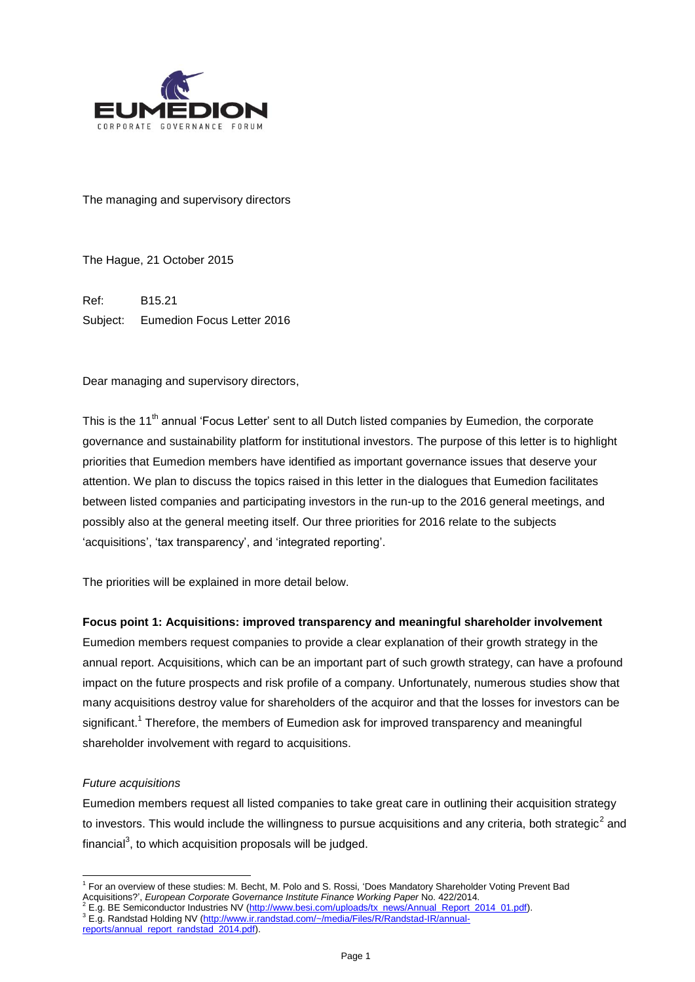

The managing and supervisory directors

The Hague, 21 October 2015

Ref: B15.21 Subject: Eumedion Focus Letter 2016

Dear managing and supervisory directors,

This is the 11<sup>th</sup> annual 'Focus Letter' sent to all Dutch listed companies by Eumedion, the corporate governance and sustainability platform for institutional investors. The purpose of this letter is to highlight priorities that Eumedion members have identified as important governance issues that deserve your attention. We plan to discuss the topics raised in this letter in the dialogues that Eumedion facilitates between listed companies and participating investors in the run-up to the 2016 general meetings, and possibly also at the general meeting itself. Our three priorities for 2016 relate to the subjects 'acquisitions', 'tax transparency', and 'integrated reporting'.

The priorities will be explained in more detail below.

## **Focus point 1: Acquisitions: improved transparency and meaningful shareholder involvement**

Eumedion members request companies to provide a clear explanation of their growth strategy in the annual report. Acquisitions, which can be an important part of such growth strategy, can have a profound impact on the future prospects and risk profile of a company. Unfortunately, numerous studies show that many acquisitions destroy value for shareholders of the acquiror and that the losses for investors can be significant.<sup>1</sup> Therefore, the members of Eumedion ask for improved transparency and meaningful shareholder involvement with regard to acquisitions.

#### *Future acquisitions*

 $\overline{a}$ 

Eumedion members request all listed companies to take great care in outlining their acquisition strategy to investors. This would include the willingness to pursue acquisitions and any criteria, both strategic<sup>2</sup> and financial<sup>3</sup>, to which acquisition proposals will be judged.

<sup>1</sup> For an overview of these studies: M. Becht, M. Polo and S. Rossi, 'Does Mandatory Shareholder Voting Prevent Bad Acquisitions?', *European Corporate Governance Institute Finance Working Paper* No. 422/2014.

<sup>&</sup>lt;sup>2</sup> E.g. BE Semiconductor Industries NV [\(http://www.besi.com/uploads/tx\\_news/Annual\\_Report\\_2014\\_01.pdf\)](http://www.besi.com/uploads/tx_news/Annual_Report_2014_01.pdf).

<sup>&</sup>lt;sup>3</sup> E.g. Randstad Holding NV [\(http://www.ir.randstad.com/~/media/Files/R/Randstad-IR/annual](http://www.ir.randstad.com/~/media/Files/R/Randstad-IR/annual-reports/annual_report_randstad_2014.pdf)[reports/annual\\_report\\_randstad\\_2014.pdf\)](http://www.ir.randstad.com/~/media/Files/R/Randstad-IR/annual-reports/annual_report_randstad_2014.pdf).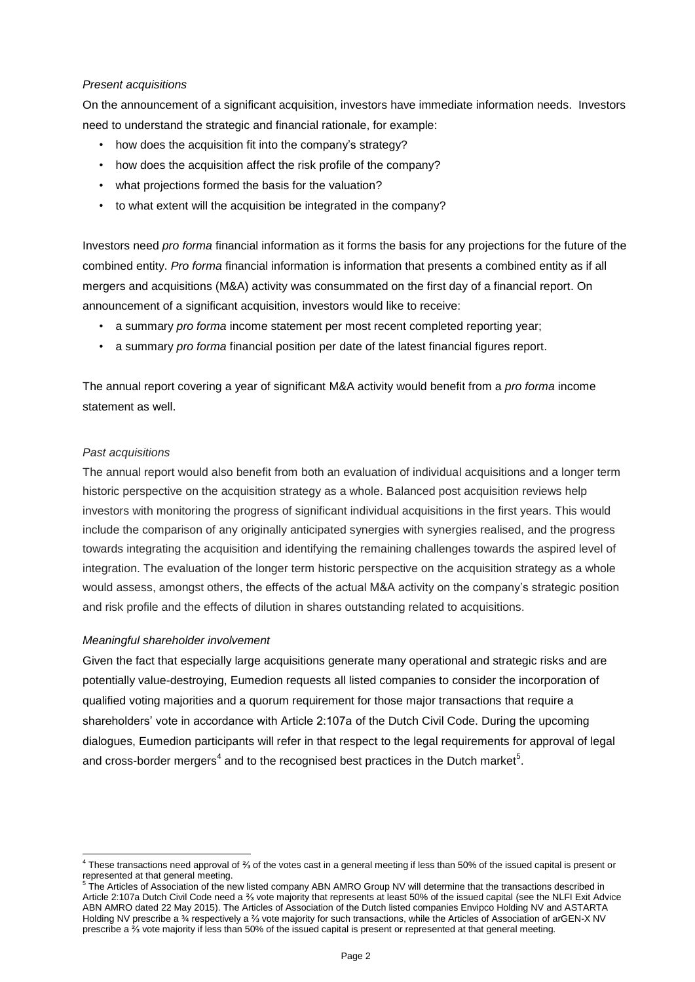# *Present acquisitions*

On the announcement of a significant acquisition, investors have immediate information needs. Investors need to understand the strategic and financial rationale, for example:

- how does the acquisition fit into the company's strategy?
- how does the acquisition affect the risk profile of the company?
- what projections formed the basis for the valuation?
- to what extent will the acquisition be integrated in the company?

Investors need *pro forma* financial information as it forms the basis for any projections for the future of the combined entity. *Pro forma* financial information is information that presents a combined entity as if all mergers and acquisitions (M&A) activity was consummated on the first day of a financial report. On announcement of a significant acquisition, investors would like to receive:

- a summary *pro forma* income statement per most recent completed reporting year;
- a summary *pro forma* financial position per date of the latest financial figures report.

The annual report covering a year of significant M&A activity would benefit from a *pro forma* income statement as well.

## *Past acquisitions*

1

The annual report would also benefit from both an evaluation of individual acquisitions and a longer term historic perspective on the acquisition strategy as a whole. Balanced post acquisition reviews help investors with monitoring the progress of significant individual acquisitions in the first years. This would include the comparison of any originally anticipated synergies with synergies realised, and the progress towards integrating the acquisition and identifying the remaining challenges towards the aspired level of integration. The evaluation of the longer term historic perspective on the acquisition strategy as a whole would assess, amongst others, the effects of the actual M&A activity on the company's strategic position and risk profile and the effects of dilution in shares outstanding related to acquisitions.

## *Meaningful shareholder involvement*

Given the fact that especially large acquisitions generate many operational and strategic risks and are potentially value-destroying, Eumedion requests all listed companies to consider the incorporation of qualified voting majorities and a quorum requirement for those major transactions that require a shareholders' vote in accordance with Article 2:107a of the Dutch Civil Code. During the upcoming dialogues, Eumedion participants will refer in that respect to the legal requirements for approval of legal and cross-border mergers<sup>4</sup> and to the recognised best practices in the Dutch market<sup>5</sup>.

<sup>4</sup> These transactions need approval of ⅔ of the votes cast in a general meeting if less than 50% of the issued capital is present or represented at that general meeting.

<sup>&</sup>lt;sup>5</sup> The Articles of Association of the new listed company ABN AMRO Group NV will determine that the transactions described in Article 2:107a Dutch Civil Code need a ⅔ vote majority that represents at least 50% of the issued capital (see the NLFI Exit Advice ABN AMRO dated 22 May 2015). The Articles of Association of the Dutch listed companies Envipco Holding NV and ASTARTA Holding NV prescribe a ¾ respectively a ⅔ vote majority for such transactions, while the Articles of Association of arGEN-X NV prescribe a ⅔ vote majority if less than 50% of the issued capital is present or represented at that general meeting.